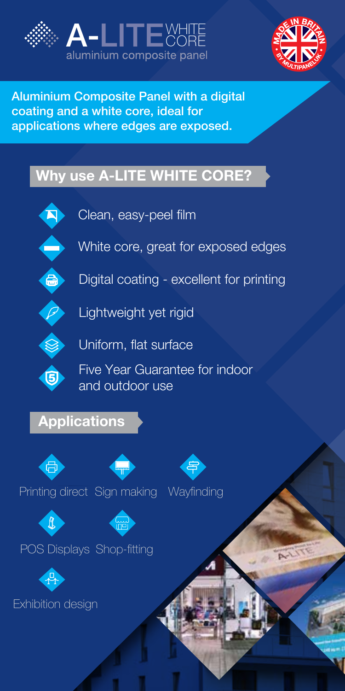



Aluminium Composite Panel with a digital coating and a white core, ideal for applications where edges are exposed.

## Why use A-LITE WHITE CORE?



Clean, easy-peel film



White core, great for exposed edges



Digital coating - excellent for printing



**P** Lightweight yet rigid



Uniform, flat surface

Five Year Guarantee for indoor **a** Five rear Guarance<br>and outdoor use

## **Applications**



Printing direct Sign making Wayfinding





POS Displays Shop-fitting



Exhibition design



**Dun**